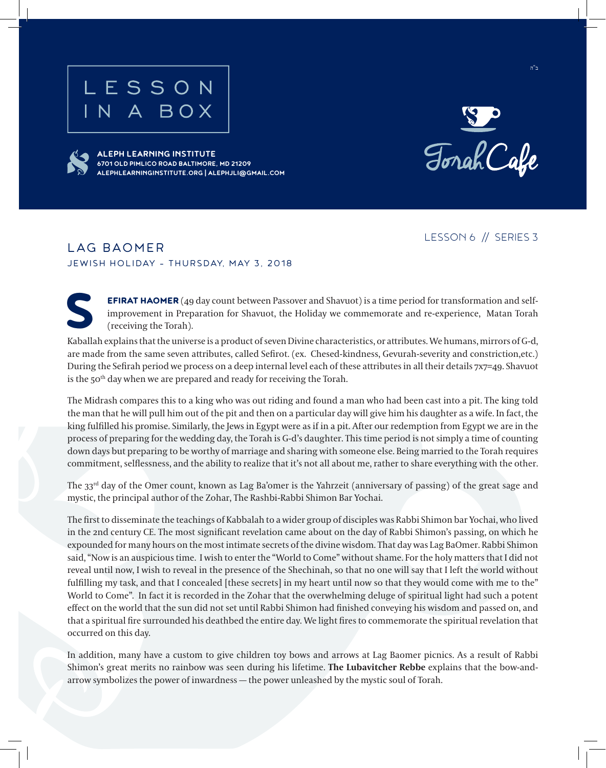

**ALEPH LEARNING INSTITUTE**

**6701 OLD PIMLICO ROAD BALTIMORE, MD 21209**

**ALEPHLEARNINGINSTITUTE.ORG | ALEPHJLI@GMAIL.COM**





ב"ה

## LESSON 6 // SERIES 3

## LAG BAOMER JEWISH HOLIDAY - THURSDAY, MAY 3, 2018

**EFIRAT HAOMER** (49 day count between Passover and Shavuot) is a time period for transformation and selfimprovement in Preparation for Shavuot, the Holiday we commemorate and re-experience, Matan Torah (receiving the Torah).

Kaballah explains that the universe is a product of seven Divine characteristics, or attributes. We humans, mirrors of G-d, are made from the same seven attributes, called Sefirot. (ex. Chesed-kindness, Gevurah-severity and constriction,etc.) During the Sefirah period we process on a deep internal level each of these attributes in all their details 7x7=49. Shavuot is the 50<sup>th</sup> day when we are prepared and ready for receiving the Torah.

The Midrash compares this to a king who was out riding and found a man who had been cast into a pit. The king told the man that he will pull him out of the pit and then on a particular day will give him his daughter as a wife. In fact, the king fulfilled his promise. Similarly, the Jews in Egypt were as if in a pit. After our redemption from Egypt we are in the process of preparing for the wedding day, the Torah is G-d's daughter. This time period is not simply a time of counting down days but preparing to be worthy of marriage and sharing with someone else. Being married to the Torah requires commitment, selflessness, and the ability to realize that it's not all about me, rather to share everything with the other.

The 33<sup>rd</sup> day of the Omer count, known as Lag Ba'omer is the Yahrzeit (anniversary of passing) of the great sage and mystic, the principal author of the Zohar, The Rashbi-Rabbi Shimon Bar Yochai.

The first to disseminate the teachings of Kabbalah to a wider group of disciples was Rabbi Shimon bar Yochai, who lived in the 2nd century CE. The most significant revelation came about on the day of Rabbi Shimon's passing, on which he expounded for many hours on the most intimate secrets of the divine wisdom. That day was Lag BaOmer. Rabbi Shimon said, "Now is an auspicious time. I wish to enter the "World to Come" without shame. For the holy matters that I did not reveal until now, I wish to reveal in the presence of the Shechinah, so that no one will say that I left the world without fulfilling my task, and that I concealed [these secrets] in my heart until now so that they would come with me to the" World to Come". In fact it is recorded in the Zohar that the overwhelming deluge of spiritual light had such a potent effect on the world that the sun did not set until Rabbi Shimon had finished conveying his wisdom and passed on, and that a spiritual fire surrounded his deathbed the entire day. We light fires to commemorate the spiritual revelation that occurred on this day.

In addition, many have a custom to give children toy bows and arrows at Lag Baomer picnics. As a result of Rabbi Shimon's great merits no rainbow was seen during his lifetime. **The Lubavitcher Rebbe** explains that the bow-andarrow symbolizes the power of inwardness — the power unleashed by the mystic soul of Torah.